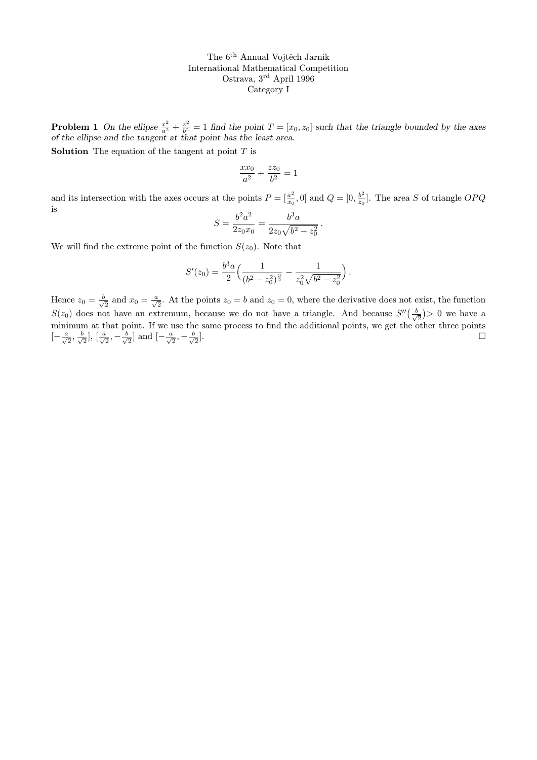The 6th Annual Vojtěch Jarník International Mathematical Competition Ostrava, 3rd April 1996 Category I

**Problem 1** On the ellipse  $\frac{x^2}{a^2} + \frac{z^2}{b^2}$  $\frac{z^2}{b^2} = 1$  find the point  $T = [x_0, z_0]$  such that the triangle bounded by the axes of the ellipse and the tangent at that point has the least area.

**Solution** The equation of the tangent at point  $T$  is

$$
\frac{xx_0}{a^2} + \frac{zz_0}{b^2} = 1
$$

and its intersection with the axes occurs at the points  $P = \left[\frac{a^2}{r_0}\right]$  $\frac{a^2}{x_0}$ , 0] and  $Q = [0, \frac{b^2}{z_0}]$  $\frac{b^2}{z_0}$ . The area S of triangle OPQ is

$$
S = \frac{b^2 a^2}{2z_0 x_0} = \frac{b^3 a}{2z_0 \sqrt{b^2 - z_0^2}}.
$$

We will find the extreme point of the function  $S(z_0)$ . Note that

$$
S'(z_0) = \frac{b^3 a}{2} \left( \frac{1}{(b^2 - z_0^2)^{\frac{3}{2}}} - \frac{1}{z_0^2 \sqrt{b^2 - z_0^2}} \right).
$$

Hence  $z_0 = \frac{b}{\sqrt{2}}$  $z_0 = \frac{a}{\sqrt{2}}$ . At the points  $z_0 = b$  and  $z_0 = 0$ , where the derivative does not exist, the function  $S(z_0)$  does not have an extremum, because we do not have a triangle. And because  $S''(\frac{b}{\sqrt{b}})$  $(\frac{1}{2}) > 0$  we have a minimum at that point. If we use the same process to find the additional points, we get the other three points  $\left[-\frac{a}{\sqrt{2}},\frac{b}{\sqrt{2}}\right]$  $\left[\frac{a}{\sqrt{2}},-\frac{b}{\sqrt{2}}\right]$  $\frac{1}{2}$  and  $\left[-\frac{a}{\sqrt{2}}, -\frac{b}{\sqrt{2}}\right]$  $\frac{1}{2}$ .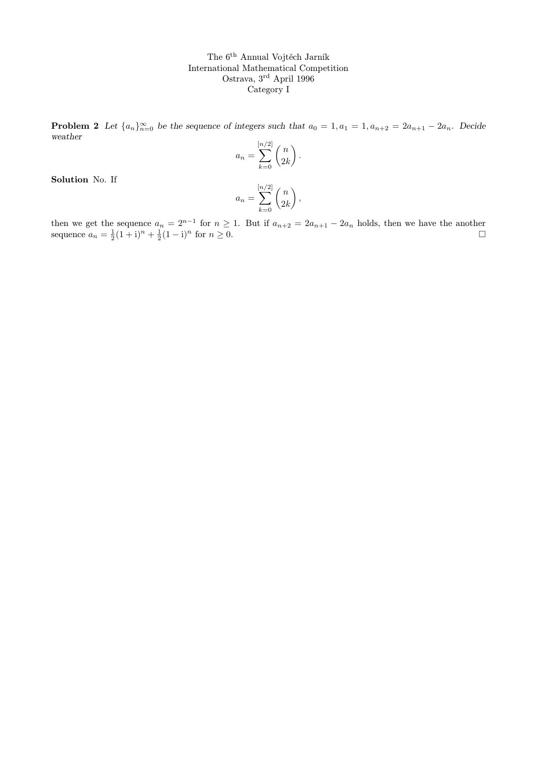The 6th Annual Vojtěch Jarník International Mathematical Competition Ostrava, 3rd April 1996 Category I

**Problem 2** Let  $\{a_n\}_{n=0}^{\infty}$  be the sequence of integers such that  $a_0 = 1, a_1 = 1, a_{n+2} = 2a_{n+1} - 2a_n$ . Decide weather

$$
a_n = \sum_{k=0}^{[n/2]} \binom{n}{2k}.
$$

Solution No. If

$$
a_n = \sum_{k=0}^{\lfloor n/2 \rfloor} \binom{n}{2k},
$$

then we get the sequence  $a_n = 2^{n-1}$  for  $n \ge 1$ . But if  $a_{n+2} = 2a_{n+1} - 2a_n$  holds, then we have the another sequence  $a_n = \frac{1}{2}(1+i)^n + \frac{1}{2}(1-i)^n$  for  $n \ge 0$ .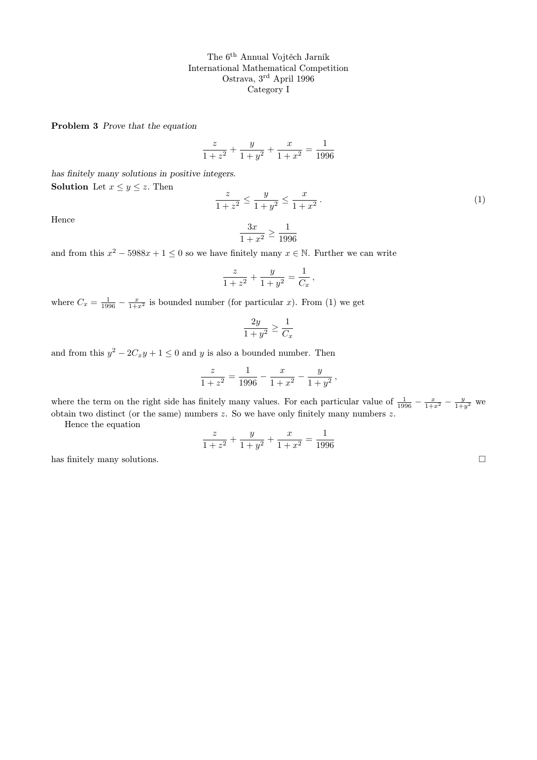The 6th Annual Vojtěch Jarník International Mathematical Competition Ostrava, 3rd April 1996 Category I

Problem 3 Prove that the equation

$$
\frac{z}{1+z^2} + \frac{y}{1+y^2} + \frac{x}{1+x^2} = \frac{1}{1996}
$$

has finitely many solutions in positive integers.

**Solution** Let  $x \leq y \leq z$ . Then

$$
\frac{z}{1+z^2} \le \frac{y}{1+y^2} \le \frac{x}{1+x^2} \,. \tag{1}
$$

Hence

$$
\frac{3x}{1+x^2} \ge \frac{1}{1996}
$$

and from this  $x^2 - 5988x + 1 \leq 0$  so we have finitely many  $x \in \mathbb{N}$ . Further we can write

$$
\frac{z}{1+z^2} + \frac{y}{1+y^2} = \frac{1}{C_x} \,,
$$

where  $C_x = \frac{1}{1996} - \frac{x}{1+x^2}$  is bounded number (for particular x). From (1) we get

$$
\frac{2y}{1+y^2} \ge \frac{1}{C_x}
$$

and from this  $y^2 - 2C_xy + 1 \le 0$  and y is also a bounded number. Then

$$
\frac{z}{1+z^2} = \frac{1}{1996} - \frac{x}{1+x^2} - \frac{y}{1+y^2} \,,
$$

where the term on the right side has finitely many values. For each particular value of  $\frac{1}{1996} - \frac{x}{1+x^2} - \frac{y}{1+y^2}$  we obtain two distinct (or the same) numbers z. So we have only finitely many numbers z.

Hence the equation

$$
\frac{z}{1+z^2} + \frac{y}{1+y^2} + \frac{x}{1+x^2} = \frac{1}{1996}
$$

has finitely many solutions.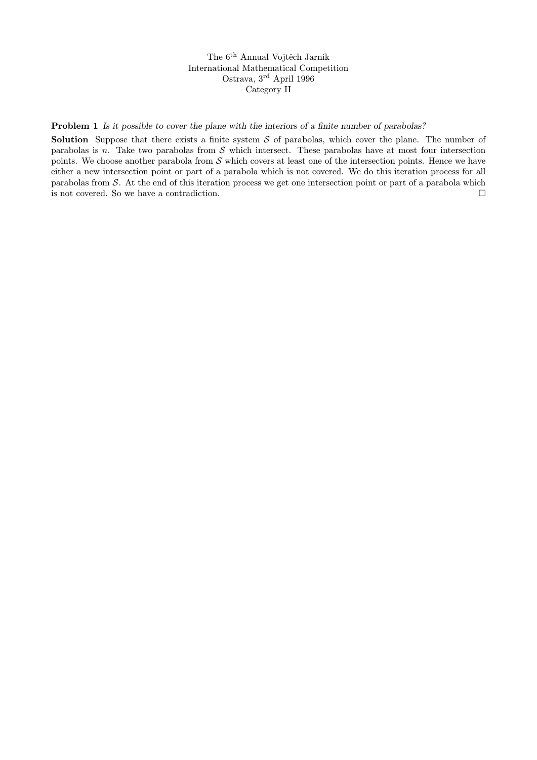The 6th Annual Vojtěch Jarník International Mathematical Competition Ostrava, 3rd April 1996 Category II

Problem 1 Is it possible to cover the plane with the interiors of a finite number of parabolas?

**Solution** Suppose that there exists a finite system  $S$  of parabolas, which cover the plane. The number of parabolas is n. Take two parabolas from  $S$  which intersect. These parabolas have at most four intersection points. We choose another parabola from  $S$  which covers at least one of the intersection points. Hence we have either a new intersection point or part of a parabola which is not covered. We do this iteration process for all parabolas from S. At the end of this iteration process we get one intersection point or part of a parabola which is not covered. So we have a contradiction.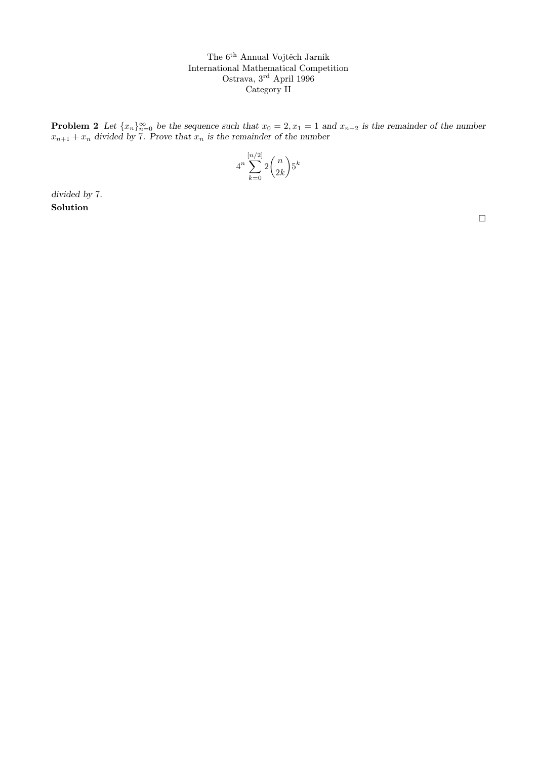The  $6^{\rm th}$ Annual Vojtěch Jarník International Mathematical Competition Ostrava, 3rd April 1996 Category II

**Problem 2** Let  $\{x_n\}_{n=0}^{\infty}$  be the sequence such that  $x_0 = 2, x_1 = 1$  and  $x_{n+2}$  is the remainder of the number  $x_{n+1} + x_n$  divided by 7. Prove that  $x_n$  is the remainder of the number

$$
4^n \sum_{k=0}^{[n/2]} 2\binom{n}{2k} 5^k
$$

divided by 7. Solution

 $\Box$